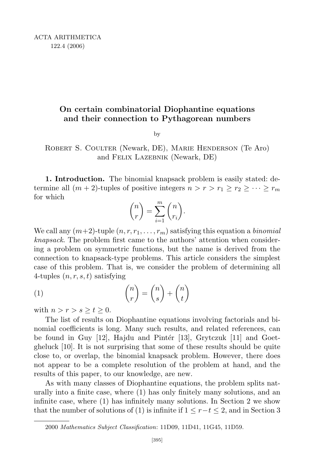## On certain combinatorial Diophantine equations and their connection to Pythagorean numbers

by

Robert S. Coulter (Newark, DE), Marie Henderson (Te Aro) and Felix Lazebnik (Newark, DE)

1. Introduction. The binomial knapsack problem is easily stated: determine all  $(m + 2)$ -tuples of positive integers  $n > r > r_1 \ge r_2 \ge \cdots \ge r_m$ for which

$$
\binom{n}{r} = \sum_{i=1}^{m} \binom{n}{r_i}.
$$

We call any  $(m+2)$ -tuple  $(n, r, r_1, \ldots, r_m)$  satisfying this equation a *binomial* knapsack. The problem first came to the authors' attention when considering a problem on symmetric functions, but the name is derived from the connection to knapsack-type problems. This article considers the simplest case of this problem. That is, we consider the problem of determining all 4-tuples  $(n, r, s, t)$  satisfying

(1) 
$$
\binom{n}{r} = \binom{n}{s} + \binom{n}{t}
$$

with  $n > r > s \ge t \ge 0$ .

The list of results on Diophantine equations involving factorials and binomial coefficients is long. Many such results, and related references, can be found in Guy  $[12]$ , Hajdu and Pintér  $[13]$ , Grytczuk  $[11]$  and Goetgheluck [10]. It is not surprising that some of these results should be quite close to, or overlap, the binomial knapsack problem. However, there does not appear to be a complete resolution of the problem at hand, and the results of this paper, to our knowledge, are new.

As with many classes of Diophantine equations, the problem splits naturally into a finite case, where (1) has only finitely many solutions, and an infinite case, where (1) has infinitely many solutions. In Section 2 we show that the number of solutions of (1) is infinite if  $1 \leq r-t \leq 2$ , and in Section 3

<sup>2000</sup> Mathematics Subject Classification: 11D09, 11D41, 11G45, 11D59.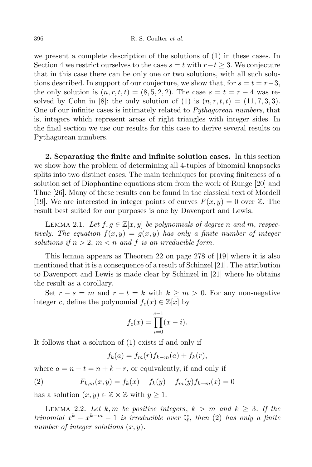we present a complete description of the solutions of (1) in these cases. In Section 4 we restrict ourselves to the case  $s = t$  with  $r-t \geq 3$ . We conjecture that in this case there can be only one or two solutions, with all such solutions described. In support of our conjecture, we show that, for  $s = t = r-3$ , the only solution is  $(n, r, t, t) = (8, 5, 2, 2)$ . The case  $s = t = r - 4$  was resolved by Cohn in [8]: the only solution of (1) is  $(n, r, t, t) = (11, 7, 3, 3)$ . One of our infinite cases is intimately related to Pythagorean numbers, that is, integers which represent areas of right triangles with integer sides. In the final section we use our results for this case to derive several results on Pythagorean numbers.

2. Separating the finite and infinite solution cases. In this section we show how the problem of determining all 4-tuples of binomial knapsacks splits into two distinct cases. The main techniques for proving finiteness of a solution set of Diophantine equations stem from the work of Runge [20] and Thue [26]. Many of these results can be found in the classical text of Mordell [19]. We are interested in integer points of curves  $F(x, y) = 0$  over  $\mathbb{Z}$ . The result best suited for our purposes is one by Davenport and Lewis.

LEMMA 2.1. Let  $f, g \in \mathbb{Z}[x, y]$  be polynomials of degree n and m, respectively. The equation  $f(x, y) = g(x, y)$  has only a finite number of integer solutions if  $n > 2$ ,  $m < n$  and f is an irreducible form.

This lemma appears as Theorem 22 on page 278 of [19] where it is also mentioned that it is a consequence of a result of Schinzel [21]. The attribution to Davenport and Lewis is made clear by Schinzel in [21] where he obtains the result as a corollary.

Set  $r - s = m$  and  $r - t = k$  with  $k \ge m > 0$ . For any non-negative integer c, define the polynomial  $f_c(x) \in \mathbb{Z}[x]$  by

$$
f_c(x) = \prod_{i=0}^{c-1} (x - i).
$$

It follows that a solution of (1) exists if and only if

$$
f_k(a) = f_m(r) f_{k-m}(a) + f_k(r),
$$

where  $a = n - t = n + k - r$ , or equivalently, if and only if

(2) 
$$
F_{k,m}(x,y) = f_k(x) - f_k(y) - f_m(y)f_{k-m}(x) = 0
$$

has a solution  $(x, y) \in \mathbb{Z} \times \mathbb{Z}$  with  $y \geq 1$ .

LEMMA 2.2. Let k, m be positive integers,  $k > m$  and  $k \geq 3$ . If the trinomial  $x^k - x^{k-m} - 1$  is irreducible over  $\mathbb{Q}$ , then (2) has only a finite number of integer solutions  $(x, y)$ .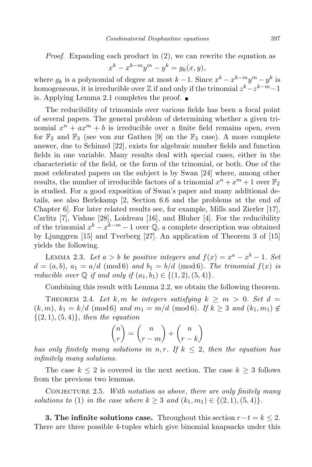Proof. Expanding each product in  $(2)$ , we can rewrite the equation as  $x^{k} - x^{k-m}y^{m} - y^{k} = g_{k}(x, y),$ 

where  $g_k$  is a polynomial of degree at most  $k-1$ . Since  $x^k - x^{k-m}y^m - y^k$  is homogeneous, it is irreducible over  $\mathbb Z$  if and only if the trinomial  $z^k - z^{k-m} - 1$ is. Applying Lemma 2.1 completes the proof.

The reducibility of trinomials over various fields has been a focal point of several papers. The general problem of determining whether a given trinomial  $x^n + ax^m + b$  is irreducible over a finite field remains open, even for  $\mathbb{F}_2$  and  $\mathbb{F}_3$  (see von zur Gathen [9] on the  $\mathbb{F}_3$  case). A more complete answer, due to Schinzel [22], exists for algebraic number fields and function fields in one variable. Many results deal with special cases, either in the characteristic of the field, or the form of the trinomial, or both. One of the most celebrated papers on the subject is by Swan [24] where, among other results, the number of irreducible factors of a trinomial  $x^n + x^m + 1$  over  $\mathbb{F}_2$ is studied. For a good exposition of Swan's paper and many additional details, see also Berlekamp [2, Section 6.6 and the problems at the end of Chapter 6]. For later related results see, for example, Mills and Zierler [17], Carlitz [7], Vishne [28], Loidreau [16], and Bluher [4]. For the reducibility of the trinomial  $x^k - x^{k-m} - 1$  over  $\mathbb{Q}$ , a complete description was obtained by Ljunggren [15] and Tverberg [27]. An application of Theorem 3 of [15] yields the following.

LEMMA 2.3. Let  $a > b$  be positive integers and  $f(x) = x^a - x^b - 1$ . Set  $d = (a, b), a_1 = a/d \pmod{6}$  and  $b_1 = b/d \pmod{6}$ . The trinomial  $f(x)$  is reducible over  $\mathbb Q$  if and only if  $(a_1, b_1) \in \{(1, 2), (5, 4)\}.$ 

Combining this result with Lemma 2.2, we obtain the following theorem.

THEOREM 2.4. Let k, m be integers satisfying  $k \geq m > 0$ . Set  $d =$  $(k, m), k_1 = k/d \pmod{6}$  and  $m_1 = m/d \pmod{6}$ . If  $k \geq 3$  and  $(k_1, m_1) \notin$  $\{(2, 1), (5, 4)\},\$  then the equation

$$
\binom{n}{r} = \binom{n}{r-m} + \binom{n}{r-k}
$$

has only finitely many solutions in n, r. If  $k \leq 2$ , then the equation has infinitely many solutions.

The case  $k \leq 2$  is covered in the next section. The case  $k \geq 3$  follows from the previous two lemmas.

CONJECTURE 2.5. With notation as above, there are only finitely many solutions to (1) in the case where  $k \geq 3$  and  $(k_1, m_1) \in \{(2, 1), (5, 4)\}.$ 

**3. The infinite solutions case.** Throughout this section  $r-t=k \leq 2$ . There are three possible 4-tuples which give binomial knapsacks under this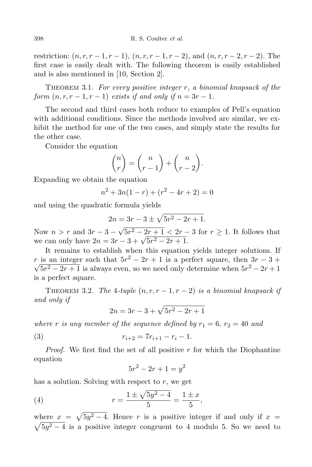restriction:  $(n, r, r - 1, r - 1), (n, r, r - 1, r - 2),$  and  $(n, r, r - 2, r - 2)$ . The first case is easily dealt with. The following theorem is easily established and is also mentioned in [10, Section 2].

THEOREM 3.1. For every positive integer  $r$ , a binomial knapsack of the form  $(n, r, r - 1, r - 1)$  exists if and only if  $n = 3r - 1$ .

The second and third cases both reduce to examples of Pell's equation with additional conditions. Since the methods involved are similar, we exhibit the method for one of the two cases, and simply state the results for the other case.

Consider the equation

$$
\binom{n}{r} = \binom{n}{r-1} + \binom{n}{r-2}.
$$

Expanding we obtain the equation

$$
n^2 + 3n(1 - r) + (r^2 - 4r + 2) = 0
$$

and using the quadratic formula yields

$$
2n = 3r - 3 \pm \sqrt{5r^2 - 2r + 1}.
$$

Now  $n > r$  and  $3r - 3 - \sqrt{5r^2 - 2r + 1} < 2r - 3$  for  $r \ge 1$ . It follows that we can only have  $2n = 3r - 3 + \sqrt{5r^2 - 2r + 1}$ .

It remains to establish when this equation yields integer solutions. If r is an integer such that  $5r^2 - 2r + 1$  is a perfect square, then  $3r - 3 +$  $\sqrt{5r^2 - 2r + 1}$  is always even, so we need only determine when  $5r^2 - 2r + 1$ is a perfect square.

THEOREM 3.2. The 4-tuple  $(n, r, r - 1, r - 2)$  is a binomial knapsack if and only if

$$
2n = 3r - 3 + \sqrt{5r^2 - 2r + 1}
$$

where r is any member of the sequence defined by  $r_1 = 6$ ,  $r_2 = 40$  and

(3) 
$$
r_{i+2} = 7r_{i+1} - r_i - 1.
$$

*Proof.* We first find the set of all positive  $r$  for which the Diophantine equation

$$
5r^2 - 2r + 1 = y^2
$$

has a solution. Solving with respect to  $r$ , we get

(4) 
$$
r = \frac{1 \pm \sqrt{5y^2 - 4}}{5} = \frac{1 \pm x}{5},
$$

where  $x = \sqrt{5y^2 - 4}$ . Hence r is a positive integer if and only if  $x =$  $\sqrt{5y^2-4}$  is a positive integer congruent to 4 modulo 5. So we need to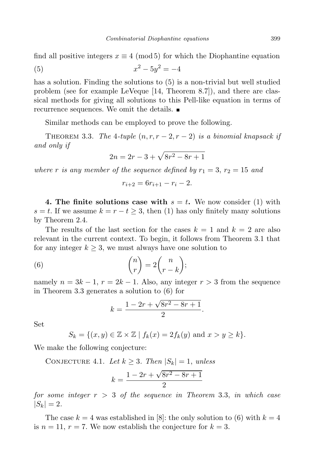find all positive integers  $x \equiv 4 \pmod{5}$  for which the Diophantine equation

(5) 
$$
x^2 - 5y^2 = -4
$$

has a solution. Finding the solutions to (5) is a non-trivial but well studied problem (see for example LeVeque [14, Theorem 8.7]), and there are classical methods for giving all solutions to this Pell-like equation in terms of recurrence sequences. We omit the details.

Similar methods can be employed to prove the following.

THEOREM 3.3. The 4-tuple  $(n, r, r - 2, r - 2)$  is a binomial knapsack if and only if

$$
2n = 2r - 3 + \sqrt{8r^2 - 8r + 1}
$$

where r is any member of the sequence defined by  $r_1 = 3$ ,  $r_2 = 15$  and

$$
r_{i+2} = 6r_{i+1} - r_i - 2.
$$

4. The finite solutions case with  $s = t$ . We now consider (1) with  $s = t$ . If we assume  $k = r - t \geq 3$ , then (1) has only finitely many solutions by Theorem 2.4.

The results of the last section for the cases  $k = 1$  and  $k = 2$  are also relevant in the current context. To begin, it follows from Theorem 3.1 that for any integer  $k \geq 3$ , we must always have one solution to

(6) 
$$
\binom{n}{r} = 2\binom{n}{r-k};
$$

namely  $n = 3k - 1$ ,  $r = 2k - 1$ . Also, any integer  $r > 3$  from the sequence in Theorem 3.3 generates a solution to (6) for

$$
k = \frac{1 - 2r + \sqrt{8r^2 - 8r + 1}}{2}.
$$

Set

$$
S_k = \{(x, y) \in \mathbb{Z} \times \mathbb{Z} \mid f_k(x) = 2f_k(y) \text{ and } x > y \ge k\}.
$$

We make the following conjecture:

CONJECTURE 4.1. Let  $k \geq 3$ . Then  $|S_k| = 1$ , unless

$$
k = \frac{1 - 2r + \sqrt{8r^2 - 8r + 1}}{2}
$$

for some integer  $r > 3$  of the sequence in Theorem 3.3, in which case  $|S_k| = 2.$ 

The case  $k = 4$  was established in [8]: the only solution to (6) with  $k = 4$ is  $n = 11$ ,  $r = 7$ . We now establish the conjecture for  $k = 3$ .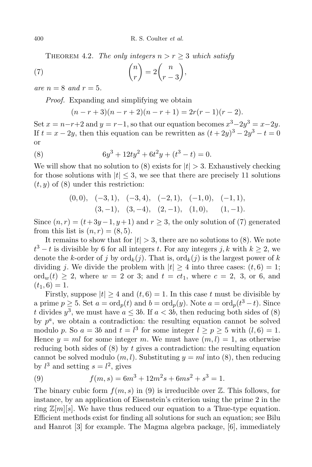,

THEOREM 4.2. The only integers  $n > r > 3$  which satisfy

(7) 
$$
\binom{n}{r} = 2\binom{n}{r-3}
$$

are  $n = 8$  and  $r = 5$ .

Proof. Expanding and simplifying we obtain

$$
(n-r+3)(n-r+2)(n-r+1) = 2r(r-1)(r-2).
$$

Set  $x = n-r+2$  and  $y = r-1$ , so that our equation becomes  $x^3-2y^3 = x-2y$ . If  $t = x - 2y$ , then this equation can be rewritten as  $(t + 2y)^3 - 2y^3 - t = 0$ or

(8) 
$$
6y^3 + 12ty^2 + 6t^2y + (t^3 - t) = 0.
$$

We will show that no solution to (8) exists for  $|t| > 3$ . Exhaustively checking for those solutions with  $|t| \leq 3$ , we see that there are precisely 11 solutions  $(t, y)$  of  $(8)$  under this restriction:

$$
(0,0), \quad (-3,1), \quad (-3,4), \quad (-2,1), \quad (-1,0), \quad (-1,1),
$$

$$
(3,-1), \quad (3,-4), \quad (2,-1), \quad (1,0), \quad (1,-1).
$$

Since  $(n, r) = (t + 3y - 1, y + 1)$  and  $r \ge 3$ , the only solution of (7) generated from this list is  $(n, r) = (8, 5)$ .

It remains to show that for  $|t| > 3$ , there are no solutions to (8). We note  $t^3 - t$  is divisible by 6 for all integers t. For any integers j, k with  $k \ge 2$ , we denote the k-order of j by  $\text{ord}_k(j)$ . That is,  $\text{ord}_k(j)$  is the largest power of k dividing j. We divide the problem with  $|t| \geq 4$  into three cases:  $(t, 6) = 1$ ; ord<sub>w</sub>(t)  $\geq$  2, where  $w = 2$  or 3; and  $t = ct_1$ , where  $c = 2$ , 3, or 6, and  $(t_1, 6) = 1.$ 

Firstly, suppose  $|t| \geq 4$  and  $(t, 6) = 1$ . In this case t must be divisible by a prime  $p \geq 5$ . Set  $a = \text{ord}_p(t)$  and  $b = \text{ord}_p(y)$ . Note  $a = \text{ord}_p(t^3 - t)$ . Since t divides  $y^3$ , we must have  $a \leq 3b$ . If  $a < 3b$ , then reducing both sides of (8) by  $p^a$ , we obtain a contradiction: the resulting equation cannot be solved modulo p. So  $a = 3b$  and  $t = l^3$  for some integer  $l \ge p \ge 5$  with  $(l, 6) = 1$ . Hence  $y = ml$  for some integer m. We must have  $(m, l) = 1$ , as otherwise reducing both sides of  $(8)$  by t gives a contradiction: the resulting equation cannot be solved modulo  $(m, l)$ . Substituting  $y = ml$  into  $(8)$ , then reducing by  $l^3$  and setting  $s = l^2$ , gives

(9) 
$$
f(m,s) = 6m^3 + 12m^2s + 6ms^2 + s^3 = 1.
$$

The binary cubic form  $f(m, s)$  in (9) is irreducible over  $\mathbb{Z}$ . This follows, for instance, by an application of Eisenstein's criterion using the prime 2 in the ring  $\mathbb{Z}[m][s]$ . We have thus reduced our equation to a Thue-type equation. Efficient methods exist for finding all solutions for such an equation; see Bilu and Hanrot [3] for example. The Magma algebra package, [6], immediately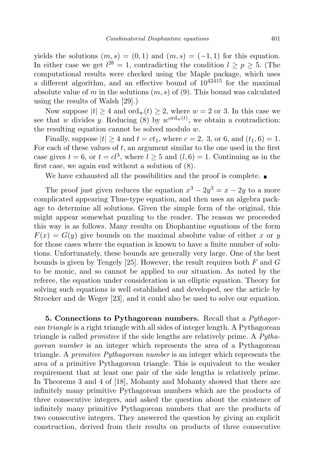yields the solutions  $(m, s) = (0, 1)$  and  $(m, s) = (-1, 1)$  for this equation. In either case we get  $l^{2b} = 1$ , contradicting the condition  $l \ge p \ge 5$ . (The computational results were checked using the Maple package, which uses a different algorithm, and an effective bound of  $10^{42415}$  for the maximal absolute value of m in the solutions  $(m, s)$  of  $(9)$ . This bound was calculated using the results of Walsh [29].)

Now suppose  $|t| > 4$  and  $\text{ord}_w(t) > 2$ , where  $w = 2$  or 3. In this case we see that w divides y. Reducing (8) by  $w^{\text{ord}_w(t)}$ , we obtain a contradiction: the resulting equation cannot be solved modulo  $w$ .

Finally, suppose  $|t| \ge 4$  and  $t = ct_1$ , where  $c = 2$ , 3, or 6, and  $(t_1, 6) = 1$ . For each of these values of  $t$ , an argument similar to the one used in the first case gives  $t = 6$ , or  $t = c^3$ , where  $l \geq 5$  and  $(l, 6) = 1$ . Continuing as in the first case, we again end without a solution of (8).

We have exhausted all the possibilities and the proof is complete.  $\blacksquare$ 

The proof just given reduces the equation  $x^3 - 2y^3 = x - 2y$  to a more complicated appearing Thue-type equation, and then uses an algebra package to determine all solutions. Given the simple form of the original, this might appear somewhat puzzling to the reader. The reason we proceeded this way is as follows. Many results on Diophantine equations of the form  $F(x) = G(y)$  give bounds on the maximal absolute value of either x or y for those cases where the equation is known to have a finite number of solutions. Unfortunately, these bounds are generally very large. One of the best bounds is given by Tengely [25]. However, the result requires both  $F$  and  $G$ to be monic, and so cannot be applied to our situation. As noted by the referee, the equation under consideration is an elliptic equation. Theory for solving such equations is well established and developed, see the article by Stroeker and de Weger [23], and it could also be used to solve our equation.

5. Connections to Pythagorean numbers. Recall that a  $Pythagor$ ean triangle is a right triangle with all sides of integer length. A Pythagorean triangle is called primitive if the side lengths are relatively prime. A Pythagorean number is an integer which represents the area of a Pythagorean triangle. A primitive Pythagorean number is an integer which represents the area of a primitive Pythagorean triangle. This is equivalent to the weaker requirement that at least one pair of the side lengths is relatively prime. In Theorems 3 and 4 of [18], Mohanty and Mohanty showed that there are infinitely many primitive Pythagorean numbers which are the products of three consecutive integers, and asked the question about the existence of infinitely many primitive Pythagorean numbers that are the products of two consecutive integers. They answered the question by giving an explicit construction, derived from their results on products of three consecutive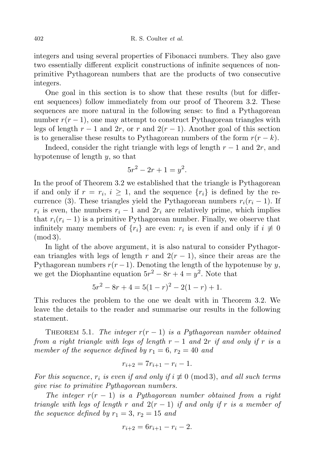integers and using several properties of Fibonacci numbers. They also gave two essentially different explicit constructions of infinite sequences of nonprimitive Pythagorean numbers that are the products of two consecutive integers.

One goal in this section is to show that these results (but for different sequences) follow immediately from our proof of Theorem 3.2. These sequences are more natural in the following sense: to find a Pythagorean number  $r(r-1)$ , one may attempt to construct Pythagorean triangles with legs of length  $r - 1$  and  $2r$ , or r and  $2(r - 1)$ . Another goal of this section is to generalise these results to Pythagorean numbers of the form  $r(r - k)$ .

Indeed, consider the right triangle with legs of length  $r - 1$  and  $2r$ , and hypotenuse of length  $y$ , so that

$$
5r^2 - 2r + 1 = y^2.
$$

In the proof of Theorem 3.2 we established that the triangle is Pythagorean if and only if  $r = r_i$ ,  $i \geq 1$ , and the sequence  $\{r_i\}$  is defined by the recurrence (3). These triangles yield the Pythagorean numbers  $r_i(r_i - 1)$ . If  $r_i$  is even, the numbers  $r_i - 1$  and  $2r_i$  are relatively prime, which implies that  $r_i(r_i - 1)$  is a primitive Pythagorean number. Finally, we observe that infinitely many members of  $\{r_i\}$  are even:  $r_i$  is even if and only if  $i \neq 0$ (mod 3).

In light of the above argument, it is also natural to consider Pythagorean triangles with legs of length r and  $2(r-1)$ , since their areas are the Pythagorean numbers  $r(r-1)$ . Denoting the length of the hypotenuse by y, we get the Diophantine equation  $5r^2 - 8r + 4 = y^2$ . Note that

$$
5r^2 - 8r + 4 = 5(1 - r)^2 - 2(1 - r) + 1.
$$

This reduces the problem to the one we dealt with in Theorem 3.2. We leave the details to the reader and summarise our results in the following statement.

THEOREM 5.1. The integer  $r(r-1)$  is a Pythagorean number obtained from a right triangle with legs of length  $r-1$  and  $2r$  if and only if r is a member of the sequence defined by  $r_1 = 6$ ,  $r_2 = 40$  and

$$
r_{i+2} = 7r_{i+1} - r_i - 1.
$$

For this sequence,  $r_i$  is even if and only if  $i \not\equiv 0 \pmod{3}$ , and all such terms give rise to primitive Pythagorean numbers.

The integer  $r(r-1)$  is a Pythagorean number obtained from a right triangle with legs of length r and  $2(r-1)$  if and only if r is a member of the sequence defined by  $r_1 = 3, r_2 = 15$  and

$$
r_{i+2} = 6r_{i+1} - r_i - 2.
$$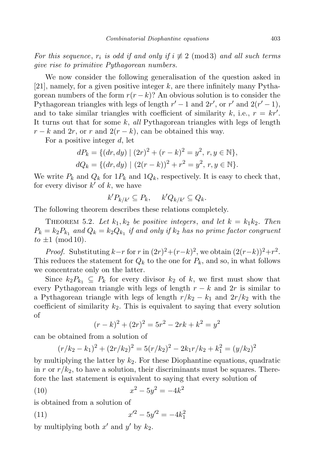For this sequence,  $r_i$  is odd if and only if  $i \not\equiv 2 \pmod{3}$  and all such terms give rise to primitive Pythagorean numbers.

We now consider the following generalisation of the question asked in  $[21]$ , namely, for a given positive integer k, are there infinitely many Pythagorean numbers of the form  $r(r - k)$ ? An obvious solution is to consider the Pythagorean triangles with legs of length  $r' - 1$  and  $2r'$ , or  $r'$  and  $2(r' - 1)$ , and to take similar triangles with coefficient of similarity k, i.e.,  $r = kr'$ . It turns out that for some  $k$ , all Pythagorean triangles with legs of length  $r - k$  and  $2r$ , or r and  $2(r - k)$ , can be obtained this way.

For a positive integer d, let

$$
dP_k = \{ (dr, dy) \mid (2r)^2 + (r - k)^2 = y^2, r, y \in \mathbb{N} \},
$$
  

$$
dQ_k = \{ (dr, dy) \mid (2(r - k))^2 + r^2 = y^2, r, y \in \mathbb{N} \}.
$$

We write  $P_k$  and  $Q_k$  for  $1P_k$  and  $1Q_k$ , respectively. It is easy to check that, for every divisor  $k'$  of k, we have

$$
k'P_{k/k'} \subseteq P_k, \quad k'Q_{k/k'} \subseteq Q_k.
$$

The following theorem describes these relations completely.

THEOREM 5.2. Let  $k_1, k_2$  be positive integers, and let  $k = k_1 k_2$ . Then  $P_k = k_2 P_{k_1}$  and  $Q_k = k_2 Q_{k_1}$  if and only if  $k_2$  has no prime factor congruent  $to \pm 1 \pmod{10}$ .

*Proof.* Substituting  $k-r$  for r in  $(2r)^2 + (r-k)^2$ , we obtain  $(2(r-k))^2 + r^2$ . This reduces the statement for  $Q_k$  to the one for  $P_k$ , and so, in what follows we concentrate only on the latter.

Since  $k_2P_{k_1} \subseteq P_k$  for every divisor  $k_2$  of k, we first must show that every Pythagorean triangle with legs of length  $r - k$  and  $2r$  is similar to a Pythagorean triangle with legs of length  $r/k_2 - k_1$  and  $2r/k_2$  with the coefficient of similarity  $k_2$ . This is equivalent to saying that every solution of

$$
(r-k)^2 + (2r)^2 = 5r^2 - 2rk + k^2 = y^2
$$

can be obtained from a solution of

$$
(r/k_2 - k_1)^2 + (2r/k_2)^2 = 5(r/k_2)^2 - 2k_1r/k_2 + k_1^2 = (y/k_2)^2
$$

by multiplying the latter by  $k_2$ . For these Diophantine equations, quadratic in r or  $r/k_2$ , to have a solution, their discriminants must be squares. Therefore the last statement is equivalent to saying that every solution of

(10) 
$$
x^2 - 5y^2 = -4k^2
$$

is obtained from a solution of

(11) 
$$
x'^2 - 5y'^2 = -4k_1^2
$$

by multiplying both  $x'$  and  $y'$  by  $k_2$ .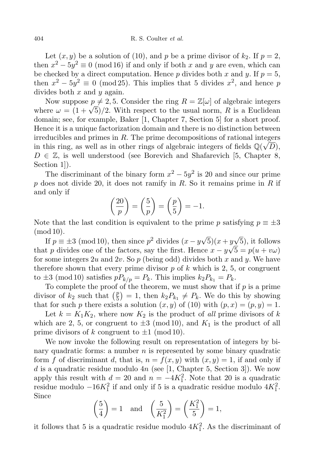Let  $(x, y)$  be a solution of (10), and p be a prime divisor of  $k_2$ . If  $p = 2$ , then  $x^2 - 5y^2 \equiv 0 \pmod{16}$  if and only if both x and y are even, which can be checked by a direct computation. Hence p divides both x and y. If  $p = 5$ , then  $x^2 - 5y^2 \equiv 0 \pmod{25}$ . This implies that 5 divides  $x^2$ , and hence p divides both  $x$  and  $y$  again.

Now suppose  $p \neq 2, 5$ . Consider the ring  $R = \mathbb{Z}[\omega]$  of algebraic integers where  $\omega = (1 + \sqrt{5})/2$ . With respect to the usual norm, R is a Euclidean domain; see, for example, Baker [1, Chapter 7, Section 5] for a short proof. Hence it is a unique factorization domain and there is no distinction between irreducibles and primes in  $R$ . The prime decompositions of rational integers in this ring, as well as in other rings of algebraic integers of fields  $\mathbb{Q}(\sqrt{D})$ ,  $D \in \mathbb{Z}$ , is well understood (see Borevich and Shafarevich [5, Chapter 8, Section 1.

The discriminant of the binary form  $x^2 - 5y^2$  is 20 and since our prime p does not divide 20, it does not ramify in R. So it remains prime in R if and only if

$$
\left(\frac{20}{p}\right) = \left(\frac{5}{p}\right) = \left(\frac{p}{5}\right) = -1.
$$

Note that the last condition is equivalent to the prime p satisfying  $p \equiv \pm 3$ (mod 10).

If  $p \equiv \pm 3 \pmod{10}$ , then since  $p^2$  divides  $(x - y\sqrt{5})(x + y\sqrt{5})$ , it follows that p divides one of the factors, say the first. Hence  $x - y\sqrt{5} = p(u + v\omega)$ for some integers 2u and 2v. So p (being odd) divides both x and y. We have therefore shown that every prime divisor  $p$  of k which is 2, 5, or congruent to  $\pm 3 \pmod{10}$  satisfies  $pP_{k/p} = P_k$ . This implies  $k_2P_{k_1} = P_k$ .

To complete the proof of the theorem, we must show that if  $p$  is a prime divisor of  $k_2$  such that  $\left(\frac{p}{5}\right)$  $(\frac{p}{5}) = 1$ , then  $k_2 P_{k_1} \neq P_k$ . We do this by showing that for such p there exists a solution  $(x, y)$  of (10) with  $(p, x) = (p, y) = 1$ .

Let  $k = K_1K_2$ , where now  $K_2$  is the product of all prime divisors of k which are 2, 5, or congruent to  $\pm 3 \pmod{10}$ , and  $K_1$  is the product of all prime divisors of k congruent to  $\pm 1 \pmod{10}$ .

We now invoke the following result on representation of integers by binary quadratic forms: a number  $n$  is represented by some binary quadratic form f of discriminant d, that is,  $n = f(x, y)$  with  $(x, y) = 1$ , if and only if d is a quadratic residue modulo  $4n$  (see [1, Chapter 5, Section 3]). We now apply this result with  $d = 20$  and  $n = -4K_1^2$ . Note that 20 is a quadratic residue modulo  $-16K_1^2$  if and only if 5 is a quadratic residue modulo  $4K_1^2$ . Since

$$
\left(\frac{5}{4}\right) = 1 \quad \text{and} \quad \left(\frac{5}{K_1^2}\right) = \left(\frac{K_1^2}{5}\right) = 1,
$$

it follows that 5 is a quadratic residue modulo  $4K_1^2$ . As the discriminant of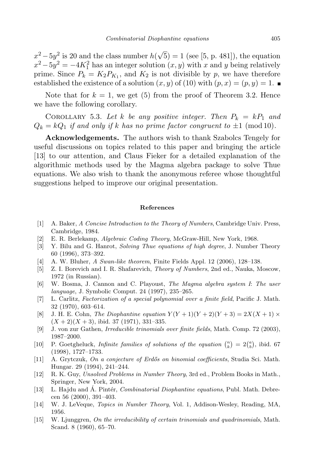$x^2 - 5y^2$  is 20 and the class number  $h(\sqrt{5}) = 1$  (see [5, p. 481]), the equation  $x^2 - 5y^2 = -4K_1^2$  has an integer solution  $(x, y)$  with x and y being relatively prime. Since  $P_k = K_2 P_{K_1}$ , and  $K_2$  is not divisible by p, we have therefore established the existence of a solution  $(x, y)$  of (10) with  $(p, x) = (p, y) = 1$ .

Note that for  $k = 1$ , we get (5) from the proof of Theorem 3.2. Hence we have the following corollary.

COROLLARY 5.3. Let k be any positive integer. Then  $P_k = kP_1$  and  $Q_k = kQ_1$  if and only if k has no prime factor congruent to  $\pm 1 \pmod{10}$ .

Acknowledgements. The authors wish to thank Szabolcs Tengely for useful discussions on topics related to this paper and bringing the article [13] to our attention, and Claus Fieker for a detailed explanation of the algorithmic methods used by the Magma algebra package to solve Thue equations. We also wish to thank the anonymous referee whose thoughtful suggestions helped to improve our original presentation.

## References

- [1] A. Baker, A Concise Introduction to the Theory of Numbers, Cambridge Univ. Press, Cambridge, 1984.
- [2] E. R. Berlekamp, Algebraic Coding Theory, McGraw-Hill, New York, 1968.
- [3] Y. Bilu and G. Hanrot, Solving Thue equations of high degree, J. Number Theory 60 (1996), 373–392.
- [4] A. W. Bluher, A Swan-like theorem, Finite Fields Appl. 12 (2006), 128–138.
- [5] Z. I. Borevich and I. R. Shafarevich, Theory of Numbers, 2nd ed., Nauka, Moscow, 1972 (in Russian).
- [6] W. Bosma, J. Cannon and C. Playoust, The Magma algebra system I: The user language, J. Symbolic Comput. 24 (1997), 235–265.
- [7] L. Carlitz, Factorization of a special polynomial over a finite field, Pacific J. Math. 32 (1970), 603–614.
- [8] J. H. E. Cohn, The Diophantine equation  $Y(Y + 1)(Y + 2)(Y + 3) = 2X(X + 1) \times$  $(X + 2)(X + 3)$ , ibid. 37 (1971), 331–335.
- [9] J. von zur Gathen, Irreducible trinomials over finite fields, Math. Comp. 72 (2003), 1987–2000.
- [10] P. Goetgheluck, *Infinite families of solutions of the equation*  $\binom{n}{k} = 2\binom{a}{b}$ , ibid. 67 (1998), 1727–1733.
- [11] A. Grytczuk, On a conjecture of Erdős on binomial coefficients, Studia Sci. Math. Hungar. 29 (1994), 241–244.
- [12] R. K. Guy, Unsolved Problems in Number Theory, 3rd ed., Problem Books in Math., Springer, New York, 2004.
- [13] L. Hajdu and A. Pintér, *Combinatorial Diophantine equations*, Publ. Math. Debrecen 56 (2000), 391–403.
- [14] W. J. LeVeque, Topics in Number Theory, Vol. 1, Addison-Wesley, Reading, MA, 1956.
- [15] W. Ljunggren, On the irreducibility of certain trinomials and quadrinomials, Math. Scand. 8 (1960), 65–70.